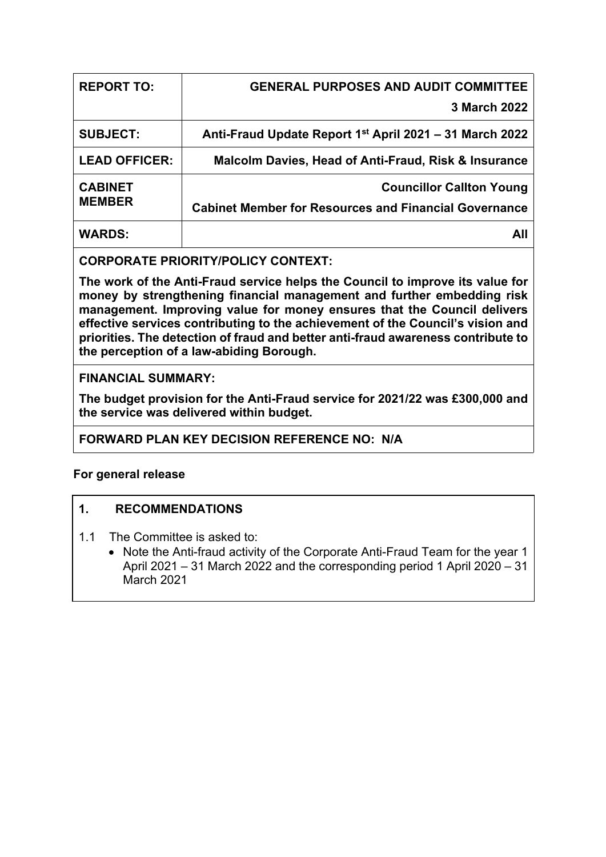| <b>REPORT TO:</b>               | <b>GENERAL PURPOSES AND AUDIT COMMITTEE</b>                                                     |
|---------------------------------|-------------------------------------------------------------------------------------------------|
|                                 | 3 March 2022                                                                                    |
| <b>SUBJECT:</b>                 | Anti-Fraud Update Report 1 <sup>st</sup> April 2021 – 31 March 2022                             |
| <b>LEAD OFFICER:</b>            | <b>Malcolm Davies, Head of Anti-Fraud, Risk &amp; Insurance</b>                                 |
| <b>CABINET</b><br><b>MEMBER</b> | <b>Councillor Callton Young</b><br><b>Cabinet Member for Resources and Financial Governance</b> |
| <b>WARDS:</b>                   | All                                                                                             |

# **CORPORATE PRIORITY/POLICY CONTEXT:**

**The work of the Anti-Fraud service helps the Council to improve its value for money by strengthening financial management and further embedding risk management. Improving value for money ensures that the Council delivers effective services contributing to the achievement of the Council's vision and priorities. The detection of fraud and better anti-fraud awareness contribute to the perception of a law-abiding Borough.**

# **FINANCIAL SUMMARY:**

**The budget provision for the Anti-Fraud service for 2021/22 was £300,000 and the service was delivered within budget.**

# **FORWARD PLAN KEY DECISION REFERENCE NO: N/A**

# **For general release**

# **1. RECOMMENDATIONS**

- 1.1 The Committee is asked to:
	- Note the Anti-fraud activity of the Corporate Anti-Fraud Team for the year 1 April 2021 – 31 March 2022 and the corresponding period 1 April 2020 – 31 March 2021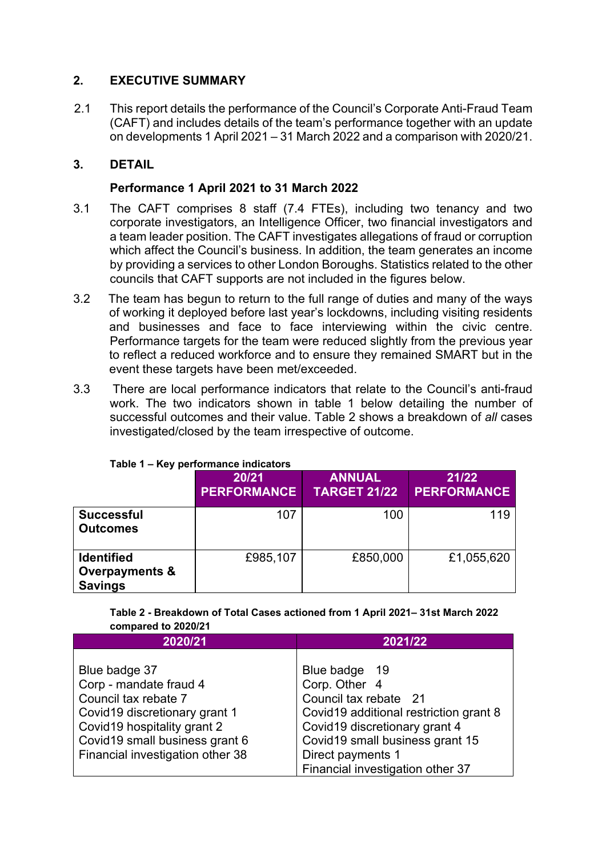# **2. EXECUTIVE SUMMARY**

2.1 This report details the performance of the Council's Corporate Anti-Fraud Team (CAFT) and includes details of the team's performance together with an update on developments 1 April 2021 – 31 March 2022 and a comparison with 2020/21.

# **3. DETAIL**

# **Performance 1 April 2021 to 31 March 2022**

- 3.1 The CAFT comprises 8 staff (7.4 FTEs), including two tenancy and two corporate investigators, an Intelligence Officer, two financial investigators and a team leader position. The CAFT investigates allegations of fraud or corruption which affect the Council's business. In addition, the team generates an income by providing a services to other London Boroughs. Statistics related to the other councils that CAFT supports are not included in the figures below.
- 3.2 The team has begun to return to the full range of duties and many of the ways of working it deployed before last year's lockdowns, including visiting residents and businesses and face to face interviewing within the civic centre. Performance targets for the team were reduced slightly from the previous year to reflect a reduced workforce and to ensure they remained SMART but in the event these targets have been met/exceeded.
- 3.3 There are local performance indicators that relate to the Council's anti-fraud work. The two indicators shown in table 1 below detailing the number of successful outcomes and their value. Table 2 shows a breakdown of *all* cases investigated/closed by the team irrespective of outcome.

|                                                                  | 20/21<br><b>PERFORMANCE</b> | <b>ANNUAL</b><br><b>TARGET 21/22</b> | 21/22<br><b>PERFORMANCE</b> |
|------------------------------------------------------------------|-----------------------------|--------------------------------------|-----------------------------|
| <b>Successful</b><br><b>Outcomes</b>                             | 107                         | 100                                  | 119                         |
| <b>Identified</b><br><b>Overpayments &amp;</b><br><b>Savings</b> | £985,107                    | £850,000                             | £1,055,620                  |

# **Table 1 – Key performance indicators**

**Table 2 - Breakdown of Total Cases actioned from 1 April 2021– 31st March 2022 compared to 2020/21**

| 2020/21                          | 2021/22                                |  |
|----------------------------------|----------------------------------------|--|
|                                  |                                        |  |
| Blue badge 37                    | Blue badge 19                          |  |
| Corp - mandate fraud 4           | Corp. Other 4                          |  |
| Council tax rebate 7             | Council tax rebate 21                  |  |
| Covid19 discretionary grant 1    | Covid19 additional restriction grant 8 |  |
| Covid19 hospitality grant 2      | Covid19 discretionary grant 4          |  |
| Covid19 small business grant 6   | Covid19 small business grant 15        |  |
| Financial investigation other 38 | Direct payments 1                      |  |
|                                  | Financial investigation other 37       |  |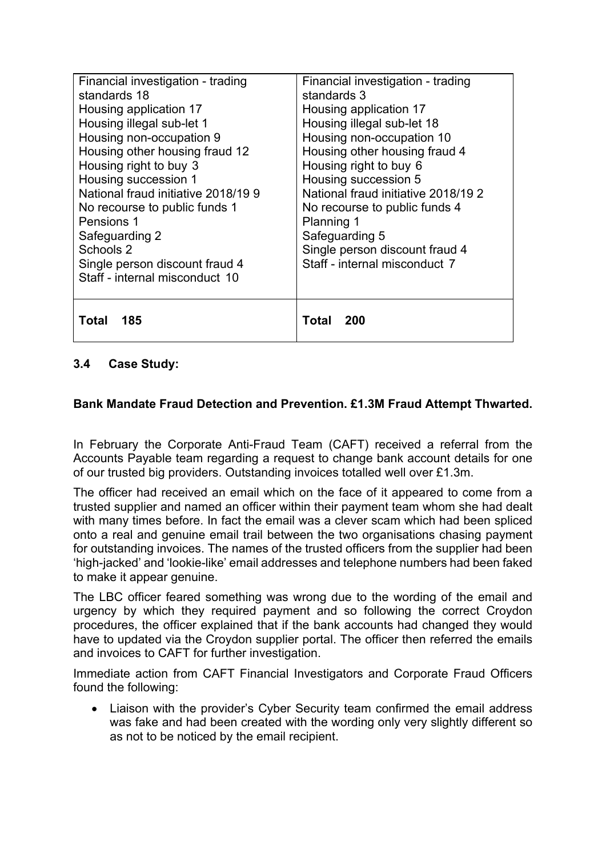| Financial investigation - trading<br>standards 18<br>Housing application 17<br>Housing illegal sub-let 1<br>Housing non-occupation 9<br>Housing other housing fraud 12<br>Housing right to buy 3<br>Housing succession 1<br>National fraud initiative 2018/199<br>No recourse to public funds 1<br>Pensions 1<br>Safeguarding 2<br>Schools 2<br>Single person discount fraud 4<br>Staff - internal misconduct 10 | Financial investigation - trading<br>standards 3<br>Housing application 17<br>Housing illegal sub-let 18<br>Housing non-occupation 10<br>Housing other housing fraud 4<br>Housing right to buy 6<br>Housing succession 5<br>National fraud initiative 2018/19 2<br>No recourse to public funds 4<br>Planning 1<br>Safeguarding 5<br>Single person discount fraud 4<br>Staff - internal misconduct 7 |
|------------------------------------------------------------------------------------------------------------------------------------------------------------------------------------------------------------------------------------------------------------------------------------------------------------------------------------------------------------------------------------------------------------------|-----------------------------------------------------------------------------------------------------------------------------------------------------------------------------------------------------------------------------------------------------------------------------------------------------------------------------------------------------------------------------------------------------|
| 185                                                                                                                                                                                                                                                                                                                                                                                                              | Total                                                                                                                                                                                                                                                                                                                                                                                               |
| Total                                                                                                                                                                                                                                                                                                                                                                                                            | 200                                                                                                                                                                                                                                                                                                                                                                                                 |

# **3.4 Case Study:**

### **Bank Mandate Fraud Detection and Prevention. £1.3M Fraud Attempt Thwarted.**

In February the Corporate Anti-Fraud Team (CAFT) received a referral from the Accounts Payable team regarding a request to change bank account details for one of our trusted big providers. Outstanding invoices totalled well over £1.3m.

The officer had received an email which on the face of it appeared to come from a trusted supplier and named an officer within their payment team whom she had dealt with many times before. In fact the email was a clever scam which had been spliced onto a real and genuine email trail between the two organisations chasing payment for outstanding invoices. The names of the trusted officers from the supplier had been 'high-jacked' and 'lookie-like' email addresses and telephone numbers had been faked to make it appear genuine.

The LBC officer feared something was wrong due to the wording of the email and urgency by which they required payment and so following the correct Croydon procedures, the officer explained that if the bank accounts had changed they would have to updated via the Croydon supplier portal. The officer then referred the emails and invoices to CAFT for further investigation.

Immediate action from CAFT Financial Investigators and Corporate Fraud Officers found the following:

• Liaison with the provider's Cyber Security team confirmed the email address was fake and had been created with the wording only very slightly different so as not to be noticed by the email recipient.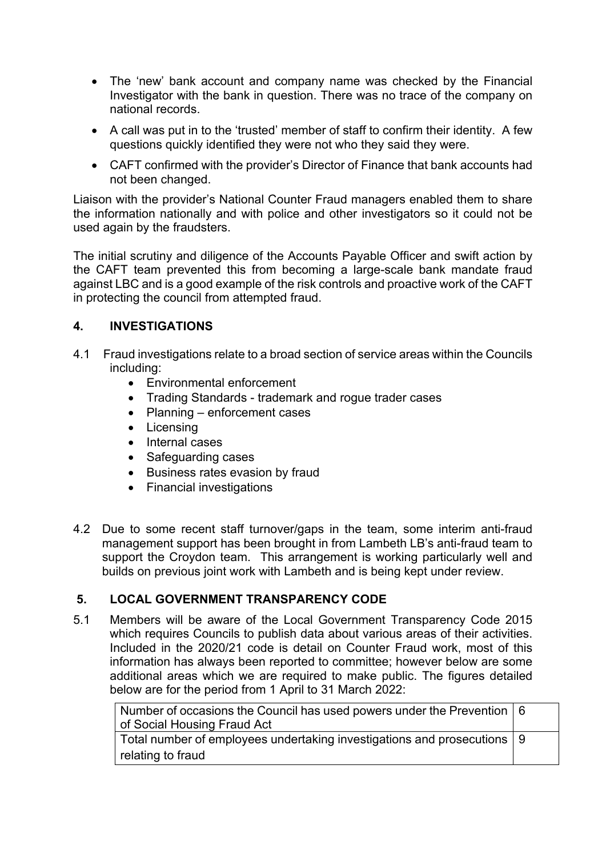- The 'new' bank account and company name was checked by the Financial Investigator with the bank in question. There was no trace of the company on national records.
- A call was put in to the 'trusted' member of staff to confirm their identity. A few questions quickly identified they were not who they said they were.
- CAFT confirmed with the provider's Director of Finance that bank accounts had not been changed.

Liaison with the provider's National Counter Fraud managers enabled them to share the information nationally and with police and other investigators so it could not be used again by the fraudsters.

The initial scrutiny and diligence of the Accounts Payable Officer and swift action by the CAFT team prevented this from becoming a large-scale bank mandate fraud against LBC and is a good example of the risk controls and proactive work of the CAFT in protecting the council from attempted fraud.

# **4. INVESTIGATIONS**

- 4.1 Fraud investigations relate to a broad section of service areas within the Councils including:
	- Environmental enforcement
	- Trading Standards trademark and rogue trader cases
	- Planning enforcement cases
	- Licensing
	- Internal cases
	- Safeguarding cases
	- Business rates evasion by fraud
	- Financial investigations
- 4.2 Due to some recent staff turnover/gaps in the team, some interim anti-fraud management support has been brought in from Lambeth LB's anti-fraud team to support the Croydon team. This arrangement is working particularly well and builds on previous joint work with Lambeth and is being kept under review.

# **5. LOCAL GOVERNMENT TRANSPARENCY CODE**

5.1 Members will be aware of the Local Government Transparency Code 2015 which requires Councils to publish data about various areas of their activities. Included in the 2020/21 code is detail on Counter Fraud work, most of this information has always been reported to committee; however below are some additional areas which we are required to make public. The figures detailed below are for the period from 1 April to 31 March 2022:

| $\mid$ Number of occasions the Council has used powers under the Prevention $\mid$ 6 |  |  |
|--------------------------------------------------------------------------------------|--|--|
| of Social Housing Fraud Act                                                          |  |  |
| Total number of employees undertaking investigations and prosecutions $\vert$ 9      |  |  |
| relating to fraud                                                                    |  |  |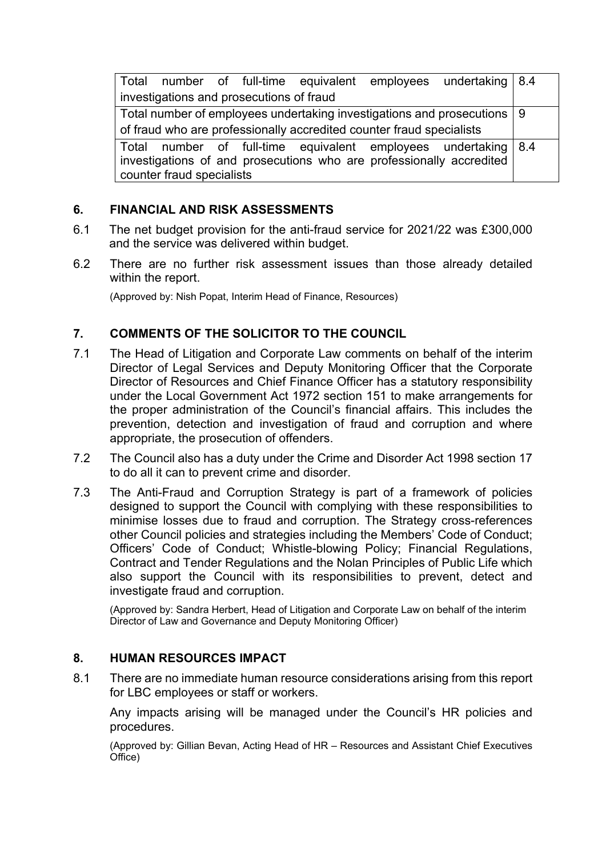| Total number of full-time equivalent employees undertaking 8.4            |  |  |  |  |
|---------------------------------------------------------------------------|--|--|--|--|
| investigations and prosecutions of fraud                                  |  |  |  |  |
| Total number of employees undertaking investigations and prosecutions   9 |  |  |  |  |
| of fraud who are professionally accredited counter fraud specialists      |  |  |  |  |
| Total number of full-time equivalent employees undertaking 8.4            |  |  |  |  |
| investigations of and prosecutions who are professionally accredited      |  |  |  |  |
| counter fraud specialists                                                 |  |  |  |  |

### **6. FINANCIAL AND RISK ASSESSMENTS**

- 6.1 The net budget provision for the anti-fraud service for 2021/22 was £300,000 and the service was delivered within budget.
- 6.2 There are no further risk assessment issues than those already detailed within the report.

(Approved by: Nish Popat, Interim Head of Finance, Resources)

# **7. COMMENTS OF THE SOLICITOR TO THE COUNCIL**

- 7.1 The Head of Litigation and Corporate Law comments on behalf of the interim Director of Legal Services and Deputy Monitoring Officer that the Corporate Director of Resources and Chief Finance Officer has a statutory responsibility under the Local Government Act 1972 section 151 to make arrangements for the proper administration of the Council's financial affairs. This includes the prevention, detection and investigation of fraud and corruption and where appropriate, the prosecution of offenders.
- 7.2 The Council also has a duty under the Crime and Disorder Act 1998 section 17 to do all it can to prevent crime and disorder.
- 7.3 The Anti-Fraud and Corruption Strategy is part of a framework of policies designed to support the Council with complying with these responsibilities to minimise losses due to fraud and corruption. The Strategy cross-references other Council policies and strategies including the Members' Code of Conduct; Officers' Code of Conduct; Whistle-blowing Policy; Financial Regulations, Contract and Tender Regulations and the Nolan Principles of Public Life which also support the Council with its responsibilities to prevent, detect and investigate fraud and corruption.

(Approved by: Sandra Herbert, Head of Litigation and Corporate Law on behalf of the interim Director of Law and Governance and Deputy Monitoring Officer)

### **8. HUMAN RESOURCES IMPACT**

8.1 There are no immediate human resource considerations arising from this report for LBC employees or staff or workers.

Any impacts arising will be managed under the Council's HR policies and procedures.

(Approved by: Gillian Bevan, Acting Head of HR – Resources and Assistant Chief Executives Office)